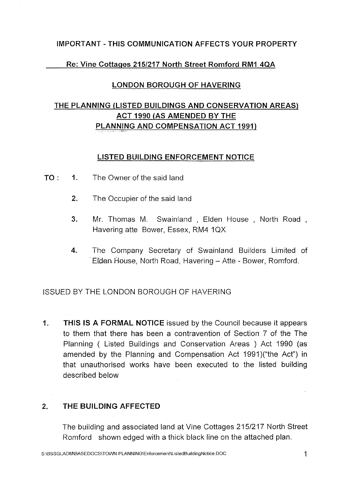#### **IMPORTANT-THIS COMMUNICATION AFFECTS YOUR PROPERTY**

#### Re: **Vine Cottages 215/217 North Street Rornford RM1 4QA**

#### **LONDON BOROUGH OF HAVERING**

# **THE PLANNING (LISTED BUILDINGS AND CONSERVATION AREAS) ACT 1990 (AS AMENDED BY THE PLANNING AND COMPENSATION ACT 1991)**

#### **LISTED BUILDING ENFORCEMENT NOTICE**

- **TO: 1.** The Owner of the said land
	- **2.** The Occupier of the said land
	- **3.**  Mr. Thomas M. Swainland , Elden House , North Road , Havering atte Bower, Essex, RM4 1QX
	- **4.**  The Company Secretary of Swainland Builders Limited of Elden House, North Road, Havering - Atte - Bower, Romford.

#### ISSUED BY THE LONDON BOROUGH OF HAVERING

**1. THIS IS A FORMAL NOTICE** issued by the Council because it appears to them that there has been a contravention of Section 7 of the The Planning ( Listed Buildings and Conservation Areas ) Act 1990 (as amended by the Planning and Compensation Act 1991 )("the Act") in that unauthorised works have been executed to the listed building described below

#### **2. THE BUILDING AFFECTED**

The building and associated land at Vine Cottages 215/217 North Street Romford shown edged with a thick black line on the attached plan.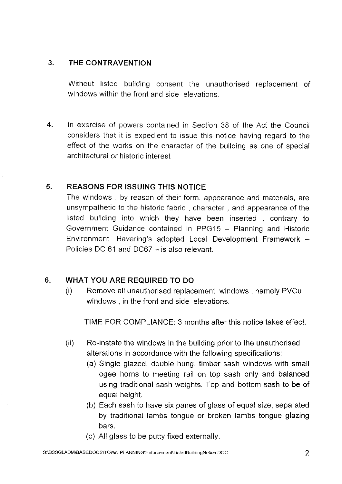## 3. **THE CONTRAVENTION**

Without listed building consent the unauthorised replacement of windows within the front and side elevations.

**4.**  In exercise of powers contained in Section 38 of the Act the Council considers that it is expedient to issue this notice having regard to the effect of the works on the character of the building as one of special architectural or historic interest

## **5. REASONS FOR ISSUING THIS NOTICE**

The windows , by reason of their form, appearance and materials, are unsympathetic to the historic fabric , character , and appearance of the listed building into which they have been inserted, contrary to Government Guidance contained in PPG15 - Planning and Historic Environment. Havering's adopted Local Development Framework Policies DC 61 and DC67 - is also relevant.

## **6. WHAT YOU ARE REQUIRED TO DO**

(i) Remove all unauthorised replacement windows , namely PVCu windows , in the front and side elevations.

TIME FOR COMPLIANCE: 3 months after this notice takes effect.

- (ii) Re-instate the windows in the building prior to the unauthorised alterations in accordance with the following specifications:
	- (a) Single glazed, double hung, timber sash windows with small ogee horns to meeting rail on top sash only and balanced using traditional sash weights. Top and bottom sash to be of equal height.
	- (b) Each sash to have six panes of glass of equal size, separated by traditional lambs tongue or broken lambs tongue glazing bars.
	- (c) All glass to be putty fixed externally.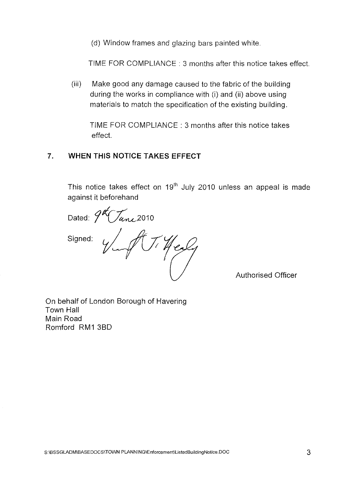(d) Window frames and glazing bars painted white.

TIME FOR COMPLIANCE : 3 months after this notice takes effect.

(iii) Make good any damage caused to the fabric of the building during the works in compliance with (i) and **(ii)** above using materials to match the specification of the existing building.

TIME FOR COMPLIANCE : 3 months after this notice takes effect.

#### **7. WHEN THIS NOTICE TAKES EFFECT**

This notice takes effect on  $19<sup>th</sup>$  July 2010 unless an appeal is made against **it** beforehand

Dated:  $9\sqrt[4]{\frac{L}{\sqrt{2}}}$ Signed: TiHealy

Authorised Officer

On behalf of London Borough of Havering Town Hall Main Road Romford **RM1** 3BD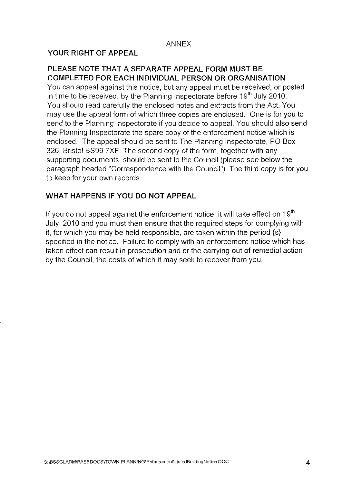#### ANNEX

#### **YOUR RIGHT OF APPEAL**

#### **PLEASE NOTE THAT A SEPARATE APPEAL FORM MUST BE COMPLETED FOR EACH INDIVIDUAL PERSON OR ORGANISATION**

You can appeal against this notice, but any appeal must be received, or posted in time to be received, by the Planning Inspectorate before  $19<sup>th</sup>$  July 2010. You should read carefully the enclosed notes and extracts from the Act. You may use the appeal form of which three copies are enclosed. One is for you to send to the Planning Inspectorate if you decide to appeal. You should also send the Planning Inspectorate the spare copy of the enforcement notice which is enclosed. The appeal should be sent to The Planning Inspectorate, PO Box 326, Bristol BS99 7XF. The second copy of the form, together with any supporting documents, should be sent to the Council (please see below the paragraph headed "Correspondence with the Council"). The third copy is for you to keep for your own records.

#### **WHAT HAPPENS IF YOU DO NOT APPEAL**

If you do not appeal against the enforcement notice, it will take effect on  $19<sup>th</sup>$ July 2010 and you must then ensure that the required steps for complying with it, for which you may be held responsible, are taken within the period {s} specified in the notice. Failure to comply with an enforcement notice which has taken effect can result in prosecution and or the carrying out of remedial action by the Council, the costs of which it may seek to recover from you.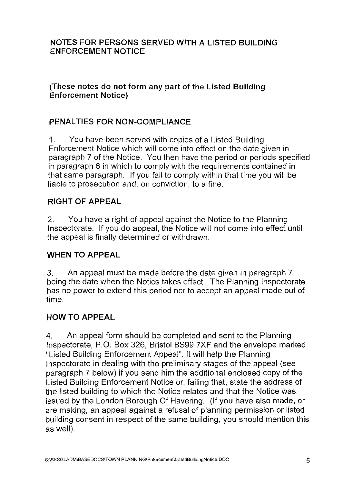### NOTES FOR PERSONS SERVED WITH A LISTED BUILDING ENFORCEMENT NOTICE

## (These notes do not form any part of the Listed Building Enforcement Notice)

## PENALTIES FOR NON-COMPLIANCE

1. You have been served with copies of a Listed Building Enforcement Notice which will come into effect on the date given in paragraph 7 of the Notice. You then have the period or periods specified in paragraph 6 in which to comply with the requirements contained in that same paragraph. If you fail to comply within that time you will be liable to prosecution and, on conviction, to a fine.

## RIGHT OF APPEAL

2. You have a right of appeal against the Notice to the Planning Inspectorate. If you do appeal, the Notice will not come into effect until the appeal is finally determined or withdrawn.

#### WHEN TO APPEAL

3. An appeal must be made before the date given in paragraph 7 being the date when the Notice takes effect. The Planning Inspectorate has no power to extend this period nor to accept an appeal made out of time.

#### HOW TO APPEAL

4. An appeal form should be completed and sent to the Planning Inspectorate, P.O. Box 326, Bristol BS99 7XF and the envelope marked "Listed Building Enforcement Appeal". It will help the Planning Inspectorate in dealing with the preliminary stages of the appeal (see paragraph 7 below) if you send him the additional enclosed copy of the Listed Building Enforcement Notice or, failing that, state the address of the listed building to which the Notice relates and that the Notice was issued by the London Borough Of Havering. (If you have also made, or are making, an appeal against a refusal of planning permission or listed building consent in respect of the same building, you should mention this as well).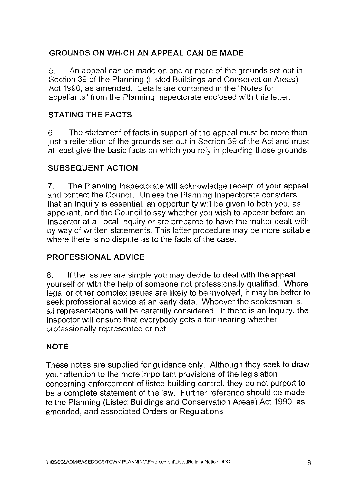# **GROUNDS ON WHICH AN APPEAL CAN BE MADE**

5. An appeal can be made on one or more of the grounds set out in Section 39 of the Planning (Listed Buildings and Conservation Areas) Act 1990, as amended. Details are contained in the "Notes for appellants" from the Planning Inspectorate enclosed with this letter.

# **STATING THE FACTS**

6. The statement of facts in support of the appeal must be more than just a reiteration of the grounds set out in Section 39 of the Act and must at least give the basic facts on which you rely in pleading those grounds.

## **SUBSEQUENT ACTION**

7. The Planning Inspectorate will acknowledge receipt of your appeal and contact the Council. Unless the Planning Inspectorate considers that an Inquiry is essential, an opportunity will be given to both you, as appellant, and the Council to say whether you wish to appear before an Inspector at a Local Inquiry or are prepared to have the matter dealt with by way of written statements. This latter procedure may be more suitable where there is no dispute as to the facts of the case.

## **PROFESSIONAL ADVICE**

8. If the issues are simple you may decide to deal with the appeal yourself or with the help of someone not professionally qualified. Where legal or other complex issues are likely to be involved, it may be better to seek professional advice at an early date. Whoever the spokesman is, all representations will be carefully considered. If there is an Inquiry, the Inspector will ensure that everybody gets a fair hearing whether professionally represented or not.

#### **NOTE**

These notes are supplied for guidance only. Although they seek to draw your attention to the more important provisions of the legislation concerning enforcement of listed building control, they do not purport to be a complete statement of the law. Further reference should be made to the Planning (Listed Buildings and Conservation Areas) Act 1990, as amended, and associated Orders or Regulations.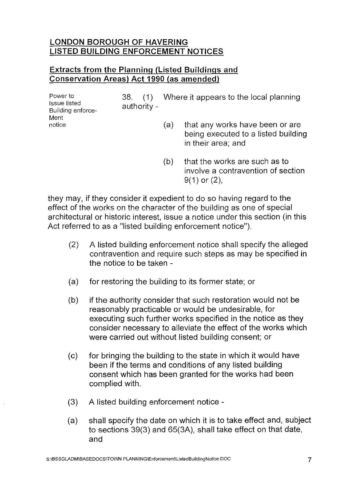## **LONDON BOROUGH OF HAVERING LISTED BUILDING ENFORCEMENT NOTICES**

## **Extracts from the Planning (Listed Buildings and Conservation Areas) Act 1990** (as **amended)**

| Power to<br><b>Issue listed</b><br>Building enforce-<br>Ment<br>notice | .38.<br>(1)<br>authority - | Where it appears to the local planning |                                                                                              |  |
|------------------------------------------------------------------------|----------------------------|----------------------------------------|----------------------------------------------------------------------------------------------|--|
|                                                                        |                            | (a)                                    | that any works have been or are<br>being executed to a listed building<br>in their area: and |  |

(b) that the works are such as to involve a contravention of section 9(1) or (2),

they may, if they consider it expedient to do so having regard to the effect of the works on the character of the building as one of special architectural or historic interest, issue a notice under this section (in this Act referred to as a "listed building enforcement notice").

- (2) A listed building enforcement notice shall specify the alleged contravention and require such steps as may be specified in the notice to be taken
- (a) for restoring the building to its former state; or
- (b) if the authority consider that such restoration would not be reasonably practicable or would be undesirable, for executing such further works specified in the notice as they consider necessary to alleviate the effect of the works which were carried out without listed building consent; or
- (c) for bringing the building to the state in which it would have been if the terms and conditions of any listed building consent which has been granted for the works had been complied with.
- (3) A listed building enforcement notice -
- (a) shall specify the date on which it is to take effect and, subject to sections 39(3) and 65(3A), shall take effect on that date, and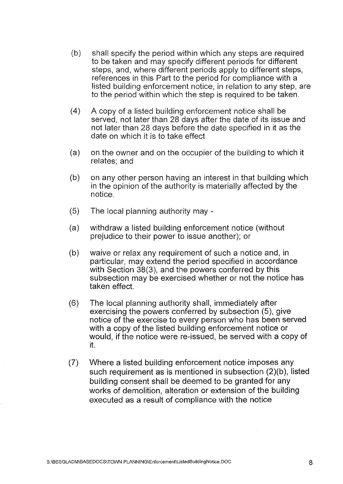- (b) shall specify the period within which any steps are required to be taken and may specify different periods for different steps, and, where different periods apply to different steps, references in this Part to the period for compliance with a listed building enforcement notice, in relation to any step, are to the period within which the step is required to be taken.
- $(4)$  A copy of a listed building enforcement notice shall be served, not later than 28 days after the date of its issue and not later than 28 days before the date specified in it as the date on which it is to take effect
- (a) on the owner and on the occupier of the building to which it relates; and
- (b) on any other person having an interest in that building which in the opinion of the authority is materially affected by the notice.
- $(5)$  The local planning authority may  $\overline{\phantom{a}}$
- (a) withdraw a listed building enforcement notice (without prejudice to their power to issue another); or
- $(b)$  waive or relax any requirement of such a notice and, in particular, may extend the period specified in accordance with Section 38(3), and the powers conferred by this subsection may be exercised whether or not the notice has taken effect.
- (6) The local planning authority shall, immediately after exercising the powers conferred by subsection (5), give notice of the exercise to every person who has been served with a copy of the listed building enforcement notice or would, if the notice were re-issued, be served with a copy of it.
- (7) Where a listed building enforcement notice imposes any such requirement as is mentioned in subsection (2)(b), listed building consent shall be deemed to be granted for any works of demolition, alteration or extension of the building executed as a result of compliance with the notice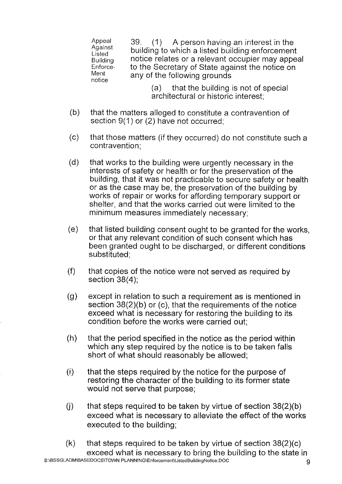Appeal 39. (1) A person having an interest in the Against building to which a linted building enforcement Against building to which a listed building enforcement<br>Building notice relates or a relevant occupier may appe Building and notice relates or a relevant occupier may appeal<br>Enforce- Lo the Secretary of State against the notice on Enforce to the Secretary of State against the notice on<br>Ment can't of the following arounds Ment any of the following grounds

> (a) that the building is not of special architectural or historic interest;

- (b) that the matters alleged to constitute a contravention of section 9(1) or (2) have not occurred;
- (c) that those matters (if they occurred) do not constitute such a contravention;
- (d) that works to the building were urgently necessary in the interests of safety or health or for the preservation of the building, that it was not practicable to secure safety or health or as the case may be, the preservation of the building by works of repair or works for affording temporary support or shelter, and that the works carried out were limited to the minimum measures immediately necessary;
- (e) that listed building consent ought to be granted for the works, or that any relevant condition of such consent which has been granted ought to be discharged, or different conditions substituted;
- (f) that copies of the notice were not served as required by section 38(4);
- (g) except in relation to such a requirement as is mentioned in section 38(2)(b) or (c), that the requirements of the notice exceed what is necessary for restoring the building to its condition before the works were carried out;
- (h) that the period specified in the notice as the period within which any step required by the notice is to be taken falls short of what should reasonably be allowed;
- $(i)$  that the steps required by the notice for the purpose of restoring the character of the building to its former state would not serve that purpose;
- $(i)$  that steps required to be taken by virtue of section 38(2)(b) exceed what is necessary to alleviate the effect of the works executed to the building;
- $(k)$  that steps required to be taken by virtue of section 38(2)(c) exceed what is necessary to bring the building to the state in S:\BSSGLADM\BASEDOCS\TOWN PLANNING\Enforcement\ListedBuildingNotice.DOC 9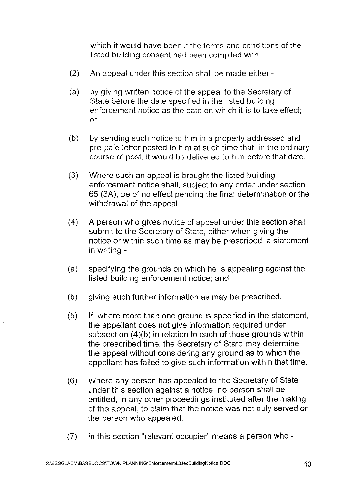which it would have been if the terms and conditions of the listed building consent had been complied with.

- $(2)$  An appeal under this section shall be made either -
- (a) by giving written notice of the appeal to the Secretary of State before the date specified in the listed building enforcement notice as the date on which it is to take effect; or
- (b) by sending such notice to him in a properly addressed and pre-paid letter posted to him at such time that, in the ordinary course of post, it would be delivered to him before that date.
- (3) Where such an appeal is brought the listed building enforcement notice shall, subject to any order under section 65 (3A), be of no effect pending the final determination or the withdrawal of the appeal.
- (4) A person who gives notice of appeal under this section shall, submit to the Secretary of State, either when giving the notice or within such time as may be prescribed, a statement in writing
- (a) specifying the grounds on which he is appealing against the listed building enforcement notice; and
- (b) giving such further information as may be prescribed.
- (5) If, where more than one ground is specified in the statement, the appellant does not give information required under subsection  $(4)(b)$  in relation to each of those grounds within the prescribed time, the Secretary of State may determine the appeal without considering any ground as to which the appellant has failed to give such information within that time.
- (6) Where any person has appealed to the Secretary of State under this section against a notice, no person shall be entitled, in any other proceedings instituted after the making of the appeal, to claim that the notice was not duly served on the person who appealed.
- $(7)$  In this section "relevant occupier" means a person who -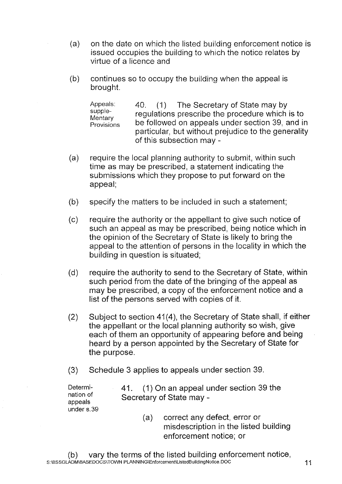- (a) on the date on which the listed building enforcement notice is issued occupies the building to which the notice relates by virtue of a licence and
- $(b)$  continues so to occupy the building when the appeal is brought.

Appeals: 40. (1) The Secretary of State may by<br>supple-<br>mentary be followed on appeals under section 39, and in<br>Provisions be followed on appeals under section 39, and in be followed on appeals under section 39, and in particular, but without prejudice to the generality of this subsection may

- (a) require the local planning authority to submit, within such time as may be prescribed, a statement indicating the submissions which they propose to put forward on the appeal;
- (b) specify the matters to be included in such a statement;

(c) require the authority or the appellant to give such notice of such an appeal as may be prescribed, being notice which in the opinion of the Secretary of State is likely to bring the appeal to the attention of persons in the locality in which the building in question is situated;

- (d) require the authority to send to the Secretary of State, within such period from the date of the bringing of the appeal as may be prescribed, a copy of the enforcement notice and a list of the persons served with copies of it.
- $(2)$  Subject to section 41 $(4)$ , the Secretary of State shall, if either the appellant or the local planning authority so wish, give each of them an opportunity of appearing before and being heard by a person appointed by the Secretary of State for the purpose.
- (3) Schedule 3 applies to appeals under section 39.

under s.39

Determi- 41.  $(1)$  On an appeal under section 39 the nation of Secretary of State may nation of Secretary of State may -<br>appeals

> (a) correct any defect, error or misdescription in the listed building enforcement notice; or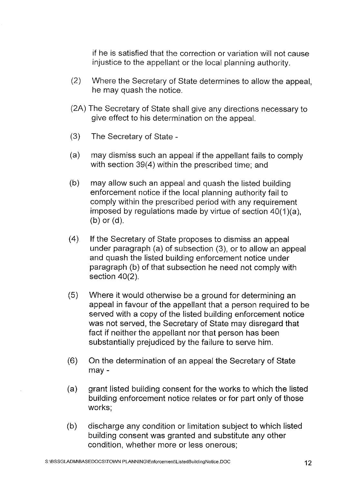if he is satisfied that the correction or variation will not cause injustice to the appellant or the local planning authority.

- (2) Where the Secretary of State determines to allow the appeal, he may quash the notice.
- (2A) The Secretary of State shall give any directions necessary to give effect to his determination on the appeal.
- $(3)$  The Secretary of State -
- (a) may dismiss such an appeal if the appellant fails to comply with section 39(4) within the prescribed time; and
- (b) may allow such an appeal and quash the listed building enforcement notice if the local planning authority fail to comply within the prescribed period with any requirement imposed by regulations made by virtue of section 40(1 )(a), (b) or (d).
- (4) If the Secretary of State proposes to dismiss an appeal under paragraph (a) of subsection (3), or to allow an appeal and quash the listed building enforcement notice under paragraph (b) of that subsection he need not comply with section 40(2).
- (5) Where it would otherwise be a ground for determining an appeal in favour of the appellant that a person required to be served with a copy of the listed building enforcement notice was not served, the Secretary of State may disregard that fact if neither the appellant nor that person has been substantially prejudiced by the failure to serve him.
- (6) On the determination of an appeal the Secretary of State may
- (a) grant listed building consent for the works to which the listed building enforcement notice relates or for part only of those works;
- (b) discharge any condition or limitation subject to which listed building consent was granted and substitute any other condition, whether more or less onerous;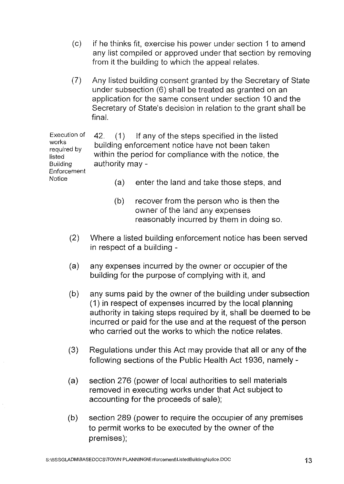- (c) if he thinks fit, exercise his power under section 1 to amend any list compiled or approved under that section by removing from it the building to which the appeal relates.
- (7) Any listed building consent granted by the Secretary of State under subsection (6) shall be treated as granted on an application for the same consent under section 10 and the Secretary of State's decision in relation to the grant shall be final.

Execution of works required by listed Building Enforcement **Notice** 42. (1) If any of the steps specified in the listed building enforcement notice have not been taken within the period for compliance with the notice, the authority may

- (a) enter the land and take those steps, and
- (b) recover from the person who is then the owner of the land any expenses reasonably incurred by them in doing so.
- (2) Where a listed building enforcement notice has been served in respect of a building
- (a) any expenses incurred by the owner or occupier of the building for the purpose of complying with it, and
- (b) any sums paid by the owner of the building under subsection (1) in respect of expenses incurred by the local planning authority in taking steps required by it, shall be deemed to be incurred or paid for the use and at the request of the person who carried out the works to which the notice relates.
- (3) Regulations under this Act may provide that all or any of the following sections of the Public Health Act 1936, namely
- (a) section 276 (power of local authorities to sell materials removed in executing works under that Act subject to accounting for the proceeds of sale);
- (b) section 289 (power to require the occupier of any premises to permit works to be executed by the owner of the premises);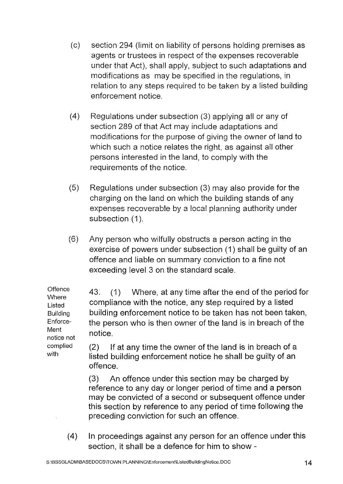- (c) section 294 (limit on liability of persons holding premises as agents or trustees in respect of the expenses recoverable under that Act), shall apply, subject to such adaptations and modifications as may be specified in the regulations, in relation to any steps required to be taken by a listed building enforcement notice.
- (4) Regulations under subsection (3) applying all or any of section 289 of that Act may include adaptations and modifications for the purpose of giving the owner of land to which such a notice relates the right, as against all other persons interested in the land, to comply with the requirements of the notice.
- (5) Regulations under subsection (3) may also provide for the charging on the land on which the building stands of any expenses recoverable by a local planning authority under subsection (1).
- (6) Any person who wilfully obstructs a person acting in the exercise of powers under subsection (1) shall be guilty of an offence and liable on summary conviction to a fine not exceeding level 3 on the standard scale.

**Offence Where** Listed Building Enforce-Ment notice not complied 43. (1) Where, at any time after the end of the period for compliance with the notice, any step required by a listed building enforcement notice to be taken has not been taken, the person who is then owner of the land is in breach of the notice.

(2) If at any time the owner of the land is in breach of a listed building enforcement notice he shall be guilty of an offence.

(3) An offence under this section may be charged by reference to any day or longer period of time and a person may be convicted of a second or subsequent offence under this section by reference to any period of time following the preceding conviction for such an offence.

(4) In proceedings against any person for an offence under this section, it shall be a defence for him to show

with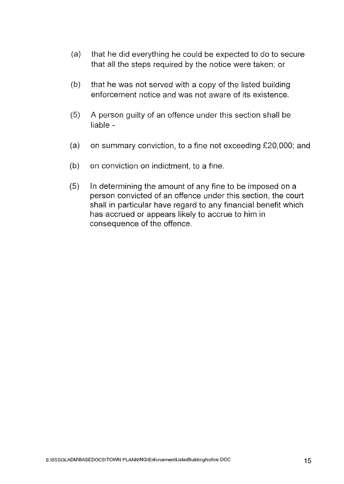- (a) that he did everything he could be expected to do to secure that all the steps required by the notice were taken; or
- $(b)$  that he was not served with a copy of the listed building enforcement notice and was not aware of its existence.
- (5) A person guilty of an offence under this section shall be liable
- (a) on summary conviction, to a fine not exceeding  $£20,000$ ; and
- $(b)$  on conviction on indictment, to a fine.
- $(5)$  In determining the amount of any fine to be imposed on a person convicted of an offence under this section, the court shall in particular have regard to any financial benefit which has accrued or appears likely to accrue to him in consequence of the offence.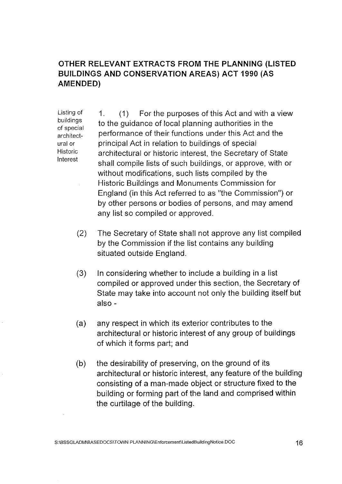## **OTHER RELEVANT EXTRACTS FROM THE PLANNING (LISTED BUILDINGS AND CONSERVATION AREAS) ACT 1990 (AS AMENDED)**

Listing of buildings of special architectural or Historic Interest

1. (1) For the purposes of this Act and with a view to the guidance of local planning authorities in the performance of their functions under this Act and the principal Act in relation to buildings of special architectural or historic interest, the Secretary of State shall compile lists of such buildings, or approve, with or without modifications, such lists compiled by the Historic Buildings and Monuments Commission for England (in this Act referred to as "the Commission") or by other persons or bodies of persons, and may amend any list so compiled or approved.

- (2) The Secretary of State shall not approve any list compiled by the Commission if the list contains any building situated outside England.
- (3) In considering whether to include a building in a list compiled or approved under this section, the Secretary of State may take into account not only the building itself but also
- (a) any respect in which its exterior contributes to the architectural or historic interest of any group of buildings of which it forms part; and
- (b) the desirability of preserving, on the ground of its architectural or historic interest, any feature of the building consisting of a man-made object or structure fixed to the building or forming part of the land and comprised within the curtilage of the building.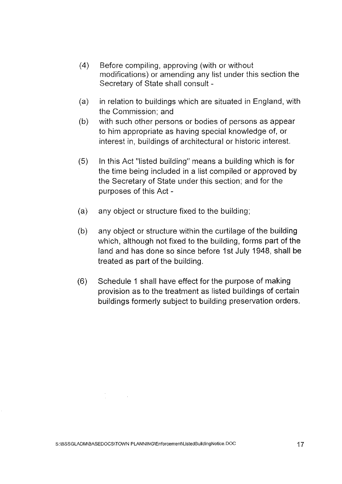- (4) Before compiling, approving (with or without modifications) or amending any list under this section the Secretary of State shall consult
- (a) in relation to buildings which are situated in England, with the Commission; and
- (b) with such other persons or bodies of persons as appear to him appropriate as having special knowledge of, or interest in, buildings of architectural or historic interest.
- (5) In this Act "listed building" means a building which is for the time being included in a list compiled or approved by the Secretary of State under this section; and for the purposes of this Act
- $(a)$  any object or structure fixed to the building;
- (b) any object or structure within the curtilage of the building which, although not fixed to the building, forms part of the land and has done so since before 1st July 1948, shall be treated as part of the building.
- (6) Schedule 1 shall have effect for the purpose of making provision as to the treatment as listed buildings of certain buildings formerly subject to building preservation orders.

 $\frac{1}{\sqrt{2}}\left(\frac{1}{\sqrt{2}}\right)^{2}=\frac{1}{2}\left(\frac{1}{\sqrt{2}}\right)^{2}$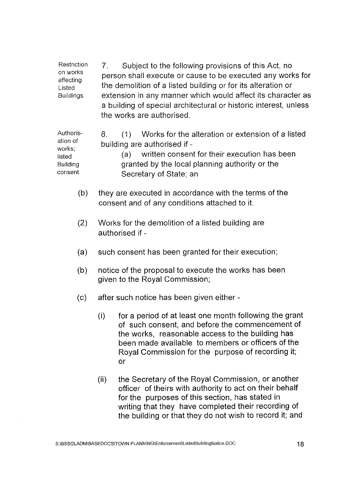Restriction on works affecting Listed Buildings 7. Subject to the following provisions of this Act, no person shall execute or cause to be executed any works for the demolition of a listed building or for its alteration or extension in any manner which would affect its character as a building of special architectural or historic interest, unless the works are authorised.

Authorisation of works; listed **Building** consent 8. (1) Works for the alteration or extension of a listed building are authorised if (a) written consent for their execution has been granted by the local planning authority or the Secretary of State; an

- (b) they are executed in accordance with the terms of the consent and of any conditions attached to it.
- (2) Works for the demolition of a listed building are authorised if
- (a) such consent has been granted for their execution;
- (b) notice of the proposal to execute the works has been given to the Royal Commission;
- (c) after such notice has been given either
	- $(i)$  for a period of at least one month following the grant of such consent, and before the commencement of the works, reasonable access to the building has been made available to members or officers of the Royal Commission for the purpose of recording it; or
	- (ii) the Secretary of the Royal Commission, or another officer of theirs with authority to act on their behalf for the purposes of this section, has stated in writing that they have completed their recording of the building or that they do not wish to record it; and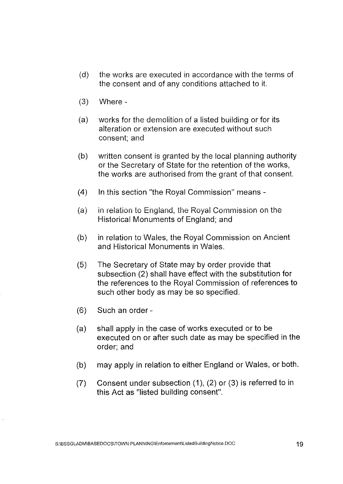- (d) the works are executed in accordance with the terms of the consent and of any conditions attached to it.
- $(3)$  Where -
- (a) works for the demolition of a listed building or for its alteration or extension are executed without such consent; and
- (b) written consent is granted by the local planning authority or the Secretary of State for the retention of the works, the works are authorised from the grant of that consent.
- (4) In this section "the Royal Commission" means -
- (a) in relation to England, the Royal Commission on the Historical Monuments of England; and
- (b) in relation to Wales, the Royal Commission on Ancient and Historical Monuments in Wales.
- (5) The Secretary of State may by order provide that subsection (2) shall have effect with the substitution for the references to the Royal Commission of references to such other body as may be so specified.
- $(6)$  Such an order -
- (a) shall apply in the case of works executed or to be executed on or after such date as may be specified in the order; and
- (b) may apply in relation to either England or Wales, or both.
- $(7)$  Consent under subsection  $(1)$ ,  $(2)$  or  $(3)$  is referred to in this Act as "listed building consent".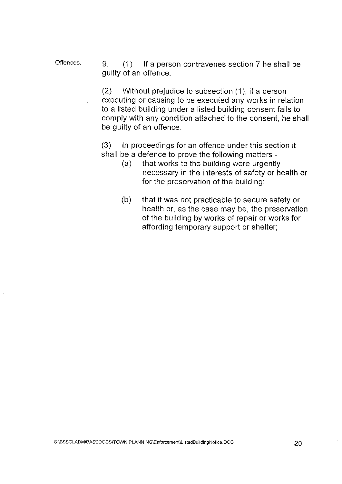Offences. 9. (1) If a person contravenes section 7 he shall be guilty of an offence.

> (2) Without prejudice to subsection (1 ), if a person executing or causing to be executed any works in relation to a listed building under a listed building consent fails to comply with any condition attached to the consent, he shall be guilty of an offence.

(3) In proceedings for an offence under this section it shall be a defence to prove the following matters

- (a) that works to the building were urgently necessary in the interests of safety or health or for the preservation of the building;
- (b) that it was not practicable to secure safety or health or, as the case may be, the preservation of the building by works of repair or works for affording temporary support or shelter;